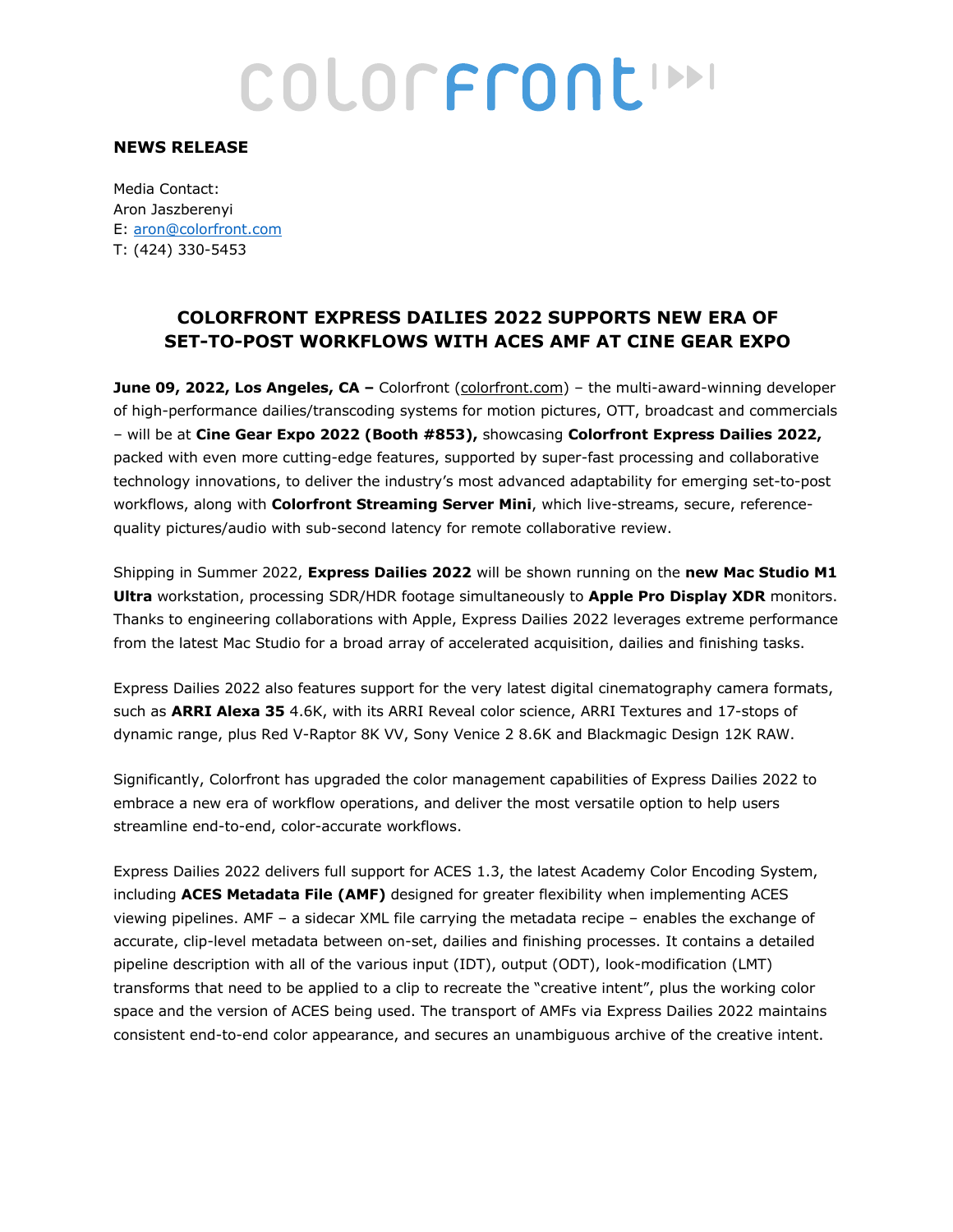# COLORFRONCIN

#### **NEWS RELEASE**

Media Contact: Aron Jaszberenyi E: aron@colorfront.com T: (424) 330-5453

### **COLORFRONT EXPRESS DAILIES 2022 SUPPORTS NEW ERA OF SET-TO-POST WORKFLOWS WITH ACES AMF AT CINE GEAR EXPO**

**June 09, 2022, Los Angeles, CA** – Colorfront (colorfront.com) – the multi-award-winning developer of high-performance dailies/transcoding systems for motion pictures, OTT, broadcast and commercials – will be at **Cine Gear Expo 2022 (Booth #853),** showcasing **Colorfront Express Dailies 2022,**  packed with even more cutting-edge features, supported by super-fast processing and collaborative technology innovations, to deliver the industry's most advanced adaptability for emerging set-to-post workflows, along with **Colorfront Streaming Server Mini**, which live-streams, secure, referencequality pictures/audio with sub-second latency for remote collaborative review.

Shipping in Summer 2022, **Express Dailies 2022** will be shown running on the **new Mac Studio M1 Ultra** workstation, processing SDR/HDR footage simultaneously to **Apple Pro Display XDR** monitors. Thanks to engineering collaborations with Apple, Express Dailies 2022 leverages extreme performance from the latest Mac Studio for a broad array of accelerated acquisition, dailies and finishing tasks.

Express Dailies 2022 also features support for the very latest digital cinematography camera formats, such as **ARRI Alexa 35** 4.6K, with its ARRI Reveal color science, ARRI Textures and 17-stops of dynamic range, plus Red V-Raptor 8K VV, Sony Venice 2 8.6K and Blackmagic Design 12K RAW.

Significantly, Colorfront has upgraded the color management capabilities of Express Dailies 2022 to embrace a new era of workflow operations, and deliver the most versatile option to help users streamline end-to-end, color-accurate workflows.

Express Dailies 2022 delivers full support for ACES 1.3, the latest Academy Color Encoding System, including **ACES Metadata File (AMF)** designed for greater flexibility when implementing ACES viewing pipelines. AMF – a sidecar XML file carrying the metadata recipe – enables the exchange of accurate, clip-level metadata between on-set, dailies and finishing processes. It contains a detailed pipeline description with all of the various input (IDT), output (ODT), look-modification (LMT) transforms that need to be applied to a clip to recreate the "creative intent", plus the working color space and the version of ACES being used. The transport of AMFs via Express Dailies 2022 maintains consistent end-to-end color appearance, and secures an unambiguous archive of the creative intent.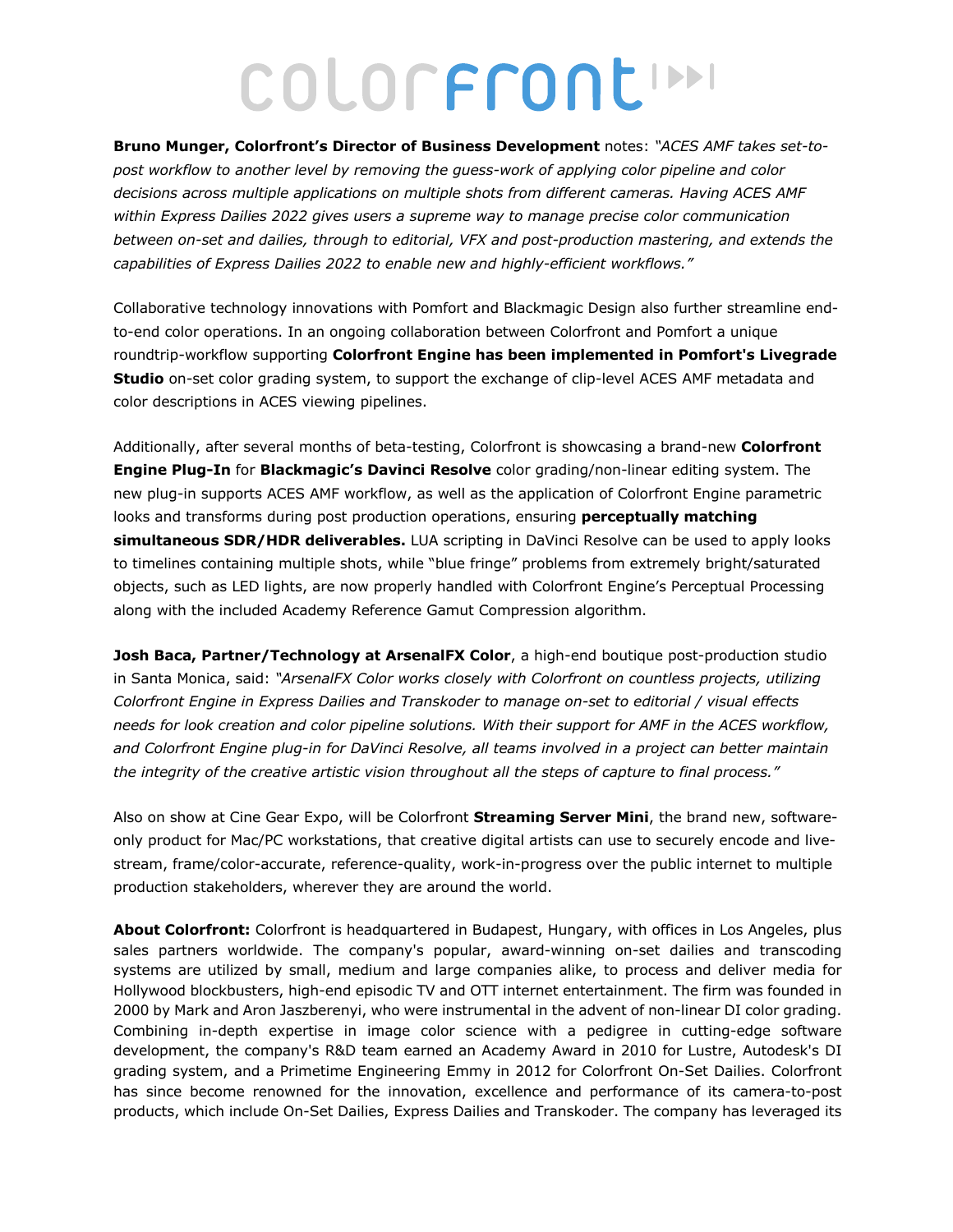## COLORFRONCIN

**Bruno Munger, Colorfront's Director of Business Development** notes: *"ACES AMF takes set-topost workflow to another level by removing the guess-work of applying color pipeline and color decisions across multiple applications on multiple shots from different cameras. Having ACES AMF within Express Dailies 2022 gives users a supreme way to manage precise color communication between on-set and dailies, through to editorial, VFX and post-production mastering, and extends the capabilities of Express Dailies 2022 to enable new and highly-efficient workflows."* 

Collaborative technology innovations with Pomfort and Blackmagic Design also further streamline endto-end color operations. In an ongoing collaboration between Colorfront and Pomfort a unique roundtrip-workflow supporting **Colorfront Engine has been implemented in Pomfort's Livegrade Studio** on-set color grading system, to support the exchange of clip-level ACES AMF metadata and color descriptions in ACES viewing pipelines.

Additionally, after several months of beta-testing, Colorfront is showcasing a brand-new **Colorfront Engine Plug-In** for **Blackmagic's Davinci Resolve** color grading/non-linear editing system. The new plug-in supports ACES AMF workflow, as well as the application of Colorfront Engine parametric looks and transforms during post production operations, ensuring **perceptually matching simultaneous SDR/HDR deliverables.** LUA scripting in DaVinci Resolve can be used to apply looks to timelines containing multiple shots, while "blue fringe" problems from extremely bright/saturated objects, such as LED lights, are now properly handled with Colorfront Engine's Perceptual Processing along with the included Academy Reference Gamut Compression algorithm.

**Josh Baca, Partner/Technology at ArsenalFX Color**, a high-end boutique post-production studio in Santa Monica, said: *"ArsenalFX Color works closely with Colorfront on countless projects, utilizing Colorfront Engine in Express Dailies and Transkoder to manage on-set to editorial / visual effects needs for look creation and color pipeline solutions. With their support for AMF in the ACES workflow, and Colorfront Engine plug-in for DaVinci Resolve, all teams involved in a project can better maintain the integrity of the creative artistic vision throughout all the steps of capture to final process."*

Also on show at Cine Gear Expo, will be Colorfront **Streaming Server Mini**, the brand new, softwareonly product for Mac/PC workstations, that creative digital artists can use to securely encode and livestream, frame/color-accurate, reference-quality, work-in-progress over the public internet to multiple production stakeholders, wherever they are around the world.

**About Colorfront:** Colorfront is headquartered in Budapest, Hungary, with offices in Los Angeles, plus sales partners worldwide. The company's popular, award-winning on-set dailies and transcoding systems are utilized by small, medium and large companies alike, to process and deliver media for Hollywood blockbusters, high-end episodic TV and OTT internet entertainment. The firm was founded in 2000 by Mark and Aron Jaszberenyi, who were instrumental in the advent of non-linear DI color grading. Combining in-depth expertise in image color science with a pedigree in cutting-edge software development, the company's R&D team earned an Academy Award in 2010 for Lustre, Autodesk's DI grading system, and a Primetime Engineering Emmy in 2012 for Colorfront On-Set Dailies. Colorfront has since become renowned for the innovation, excellence and performance of its camera-to-post products, which include On-Set Dailies, Express Dailies and Transkoder. The company has leveraged its